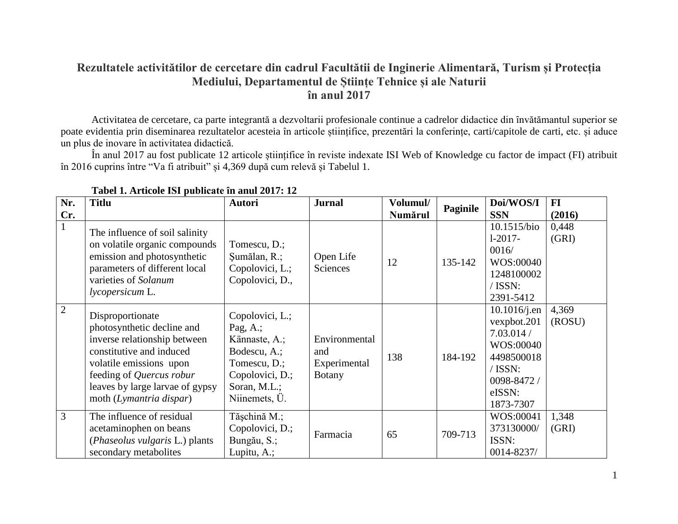## **Rezultatele activitătilor de cercetare din cadrul Facultătii de Inginerie Alimentară, Turism și Protecția Mediului, Departamentul de Științe Tehnice și ale Naturii în anul 2017**

Activitatea de cercetare, ca parte integrantă a dezvoltarii profesionale continue a cadrelor didactice din învătămantul superior se poate evidentia prin diseminarea rezultatelor acesteia în articole științifice, prezentări la conferințe, carti/capitole de carti, etc. și aduce un plus de inovare în activitatea didactică.

În anul 2017 au fost publicate 12 articole științifice în reviste indexate ISI Web of Knowledge cu factor de impact (FI) atribuit în 2016 cuprins între "Va fi atribuit" și 4,369 după cum relevă și Tabelul 1.

| Nr.            | <b>Titlu</b>                                                                                                                                                                                                                    | <b>Autori</b>                                                                                                                       | <b>Jurnal</b>                                         | Volumul/ |          | Doi/WOS/I                                                                                                              | $FI$            |
|----------------|---------------------------------------------------------------------------------------------------------------------------------------------------------------------------------------------------------------------------------|-------------------------------------------------------------------------------------------------------------------------------------|-------------------------------------------------------|----------|----------|------------------------------------------------------------------------------------------------------------------------|-----------------|
| Cr.            |                                                                                                                                                                                                                                 |                                                                                                                                     |                                                       | Numărul  | Paginile | <b>SSN</b>                                                                                                             | (2016)          |
| $\mathbf{1}$   | The influence of soil salinity<br>on volatile organic compounds<br>emission and photosynthetic<br>parameters of different local<br>varieties of Solanum<br><i>lycopersicum</i> L.                                               | Tomescu, D.;<br>Şumălan, R.;<br>Copolovici, L.;<br>Copolovici, D.,                                                                  | Open Life<br>Sciences                                 | 12       | 135-142  | 10.1515/bio<br>$1-2017-$<br>0016/<br>WOS:00040<br>1248100002<br>/ ISSN:<br>2391-5412                                   | 0,448<br>(GRI)  |
| $\overline{2}$ | Disproportionate<br>photosynthetic decline and<br>inverse relationship between<br>constitutive and induced<br>volatile emissions upon<br>feeding of Quercus robur<br>leaves by large larvae of gypsy<br>moth (Lymantria dispar) | Copolovici, L.;<br>Pag, $A$ .;<br>Kännaste, A.;<br>Bodescu, A.;<br>Tomescu, D.;<br>Copolovici, D.;<br>Soran, M.L.;<br>Niinemets, Ü. | Environmental<br>and<br>Experimental<br><b>Botany</b> | 138      | 184-192  | $10.1016$ /j.en<br>vexpbot.201<br>7.03.014/<br>WOS:00040<br>4498500018<br>/ ISSN:<br>0098-8472/<br>eISSN:<br>1873-7307 | 4,369<br>(ROSU) |
| $\overline{3}$ | The influence of residual<br>acetaminophen on beans<br>( <i>Phaseolus vulgaris L.</i> ) plants<br>secondary metabolites                                                                                                         | Tășchină M.;<br>Copolovici, D.;<br>Bungău, S.;<br>Lupitu, A.;                                                                       | Farmacia                                              | 65       | 709-713  | WOS:00041<br>373130000/<br>ISSN:<br>0014-8237/                                                                         | 1,348<br>(GRI)  |

| Tabel 1. Articole ISI publicate în anul 2017: 12 |  |  |  |  |
|--------------------------------------------------|--|--|--|--|
|                                                  |  |  |  |  |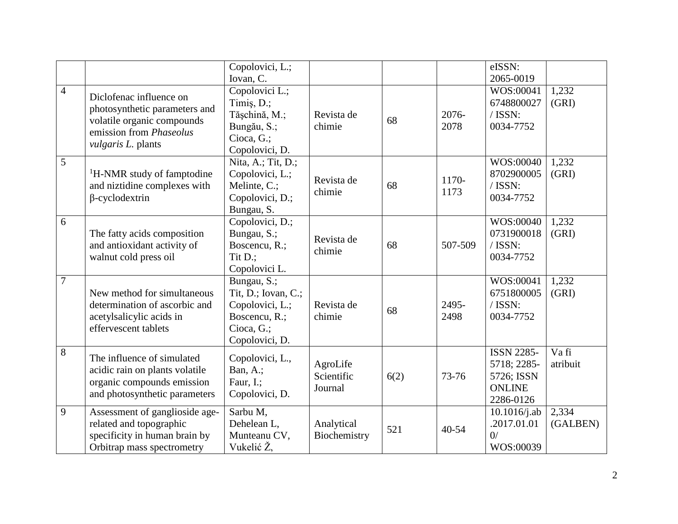|                |                                                                                                                                                | Copolovici, L.;<br>Iovan, C.                                                                           |                                   |      |               | eISSN:<br>2065-0019                                                          |                   |
|----------------|------------------------------------------------------------------------------------------------------------------------------------------------|--------------------------------------------------------------------------------------------------------|-----------------------------------|------|---------------|------------------------------------------------------------------------------|-------------------|
| $\overline{4}$ | Diclofenac influence on<br>photosynthetic parameters and<br>volatile organic compounds<br>emission from <i>Phaseolus</i><br>vulgaris L. plants | Copolovici L.;<br>Timiş, D.;<br>Tășchină, M.;<br>Bungău, S.;<br>Cioca, G.;<br>Copolovici, D.           | Revista de<br>chimie              | 68   | 2076-<br>2078 | WOS:00041<br>6748800027<br>/ ISSN:<br>0034-7752                              | 1,232<br>(GRI)    |
| $\overline{5}$ | <sup>1</sup> H-NMR study of famptodine<br>and niztidine complexes with<br>$\beta$ -cyclodextrin                                                | Nita, A.; Tit, D.;<br>Copolovici, L.;<br>Melinte, C.;<br>Copolovici, D.;<br>Bungau, S.                 | Revista de<br>chimie              | 68   | 1170-<br>1173 | WOS:00040<br>8702900005<br>/ ISSN:<br>0034-7752                              | 1,232<br>(GRI)    |
| 6              | The fatty acids composition<br>and antioxidant activity of<br>walnut cold press oil                                                            | Copolovici, D.;<br>Bungau, S.;<br>Boscencu, R.;<br>Tit D.;<br>Copolovici L.                            | Revista de<br>chimie              | 68   | 507-509       | WOS:00040<br>0731900018<br>/ ISSN:<br>0034-7752                              | 1,232<br>(GRI)    |
| $\overline{7}$ | New method for simultaneous<br>determination of ascorbic and<br>acetylsalicylic acids in<br>effervescent tablets                               | Bungau, S.;<br>Tit, D.; Iovan, C.;<br>Copolovici, L.;<br>Boscencu, R.;<br>Cioca, G.;<br>Copolovici, D. | Revista de<br>chimie              | 68   | 2495-<br>2498 | WOS:00041<br>6751800005<br>/ ISSN:<br>0034-7752                              | 1,232<br>(GRI)    |
| 8              | The influence of simulated<br>acidic rain on plants volatile<br>organic compounds emission<br>and photosynthetic parameters                    | Copolovici, L.,<br>Ban, A.;<br>Faur, I.;<br>Copolovici, D.                                             | AgroLife<br>Scientific<br>Journal | 6(2) | 73-76         | <b>ISSN 2285-</b><br>5718; 2285-<br>5726; ISSN<br><b>ONLINE</b><br>2286-0126 | Va fi<br>atribuit |
| 9              | Assessment of ganglioside age-<br>related and topographic<br>specificity in human brain by<br>Orbitrap mass spectrometry                       | Sarbu M,<br>Dehelean L,<br>Munteanu CV,<br>Vukelić Ž,                                                  | Analytical<br>Biochemistry        | 521  | $40 - 54$     | $10.1016$ /j.ab<br>.2017.01.01<br>0/<br>WOS:00039                            | 2,334<br>(GALBEN) |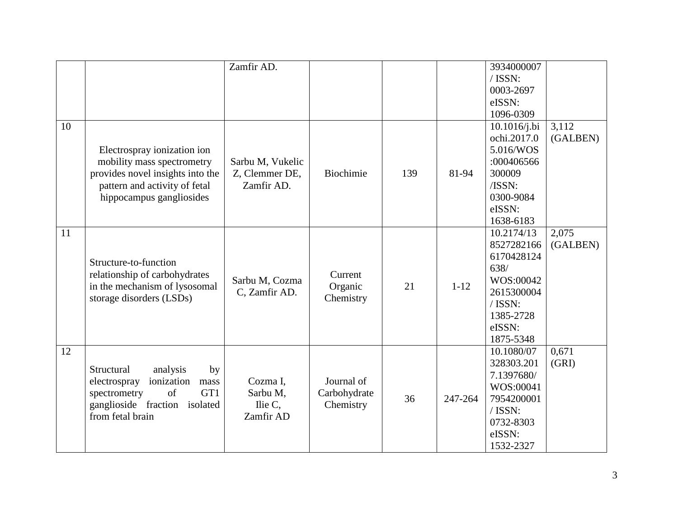|    |                                       | Zamfir AD.       |            |         |            | 3934000007   |          |
|----|---------------------------------------|------------------|------------|---------|------------|--------------|----------|
|    |                                       |                  |            |         |            | / ISSN:      |          |
|    |                                       |                  |            |         |            | 0003-2697    |          |
|    |                                       |                  |            |         |            | eISSN:       |          |
|    |                                       |                  |            |         |            | 1096-0309    |          |
| 10 |                                       |                  |            |         |            | 10.1016/j.bi | 3,112    |
|    |                                       |                  |            |         |            | ochi.2017.0  | (GALBEN) |
|    | Electrospray ionization ion           |                  |            |         |            | 5.016/WOS    |          |
|    | mobility mass spectrometry            | Sarbu M, Vukelic |            |         |            | :000406566   |          |
|    | provides novel insights into the      | Z, Clemmer DE,   | Biochimie  | 139     | 81-94      | 300009       |          |
|    | pattern and activity of fetal         | Zamfir AD.       |            |         |            | /ISSN:       |          |
|    | hippocampus gangliosides              |                  |            |         |            | 0300-9084    |          |
|    |                                       |                  |            |         |            | eISSN:       |          |
|    |                                       |                  |            |         |            | 1638-6183    |          |
| 11 |                                       |                  |            |         |            | 10.2174/13   | 2,075    |
|    |                                       |                  |            |         |            | 8527282166   | (GALBEN) |
|    |                                       |                  |            |         |            | 6170428124   |          |
|    | Structure-to-function                 |                  |            |         |            | 638/         |          |
|    | relationship of carbohydrates         | Sarbu M, Cozma   | Current    |         |            | WOS:00042    |          |
|    | in the mechanism of lysosomal         | C, Zamfir AD.    | Organic    | 21      | $1 - 12$   | 2615300004   |          |
|    | storage disorders (LSDs)              |                  | Chemistry  |         |            | / ISSN:      |          |
|    |                                       |                  |            |         | 1385-2728  |              |          |
|    |                                       |                  |            |         |            | eISSN:       |          |
|    |                                       |                  |            |         |            | 1875-5348    |          |
| 12 |                                       |                  |            |         |            | 10.1080/07   | 0,671    |
|    |                                       |                  |            |         |            | 328303.201   | (GRI)    |
|    | analysis<br>Structural<br>by          |                  |            |         |            | 7.1397680/   |          |
|    | ionization<br>electrospray<br>mass    | Cozma I,         | Journal of |         |            | WOS:00041    |          |
|    | of<br>GT1<br>spectrometry<br>Sarbu M, | Carbohydrate     | 36         | 247-264 | 7954200001 |              |          |
|    | ganglioside fraction<br>isolated      | Ilie $C$ ,       | Chemistry  |         |            | / ISSN:      |          |
|    | from fetal brain                      | Zamfir AD        |            |         |            | 0732-8303    |          |
|    |                                       |                  |            |         |            | eISSN:       |          |
|    |                                       |                  |            |         |            | 1532-2327    |          |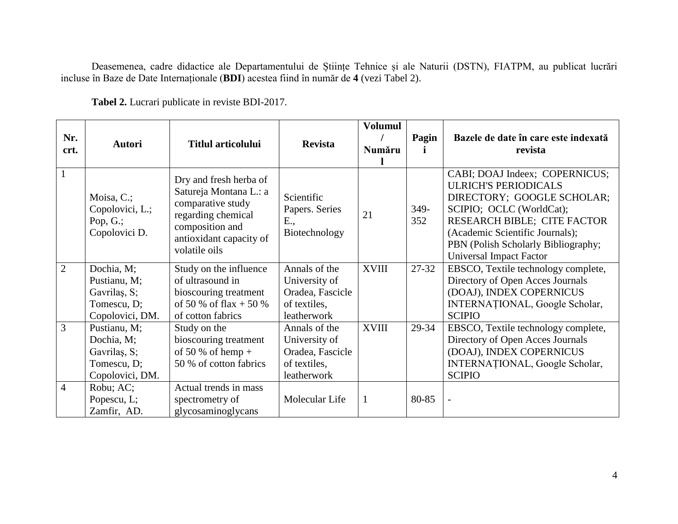Deasemenea, cadre didactice ale Departamentului de Științe Tehnice și ale Naturii (DSTN), FIATPM, au publicat lucrări incluse în Baze de Date Internaționale (**BDI**) acestea fiind în număr de **4** (vezi Tabel 2).

| Nr.<br>crt.    | <b>Autori</b>                                                                | <b>Titlul articolului</b>                                                                                                                                  | <b>Revista</b>                                                                    | <b>Volumul</b><br>Număru | Pagin       | Bazele de date în care este indexată<br>revista                                                                                                                                                                                                                    |
|----------------|------------------------------------------------------------------------------|------------------------------------------------------------------------------------------------------------------------------------------------------------|-----------------------------------------------------------------------------------|--------------------------|-------------|--------------------------------------------------------------------------------------------------------------------------------------------------------------------------------------------------------------------------------------------------------------------|
| $\mathbf{1}$   | Moisa, $C$ .;<br>Copolovici, L.;<br>Pop, $G$ .;<br>Copolovici D.             | Dry and fresh herba of<br>Satureja Montana L.: a<br>comparative study<br>regarding chemical<br>composition and<br>antioxidant capacity of<br>volatile oils | Scientific<br>Papers. Series<br>E.,<br>Biotechnology                              | 21                       | 349-<br>352 | CABI; DOAJ Indeex; COPERNICUS;<br><b>ULRICH'S PERIODICALS</b><br>DIRECTORY; GOOGLE SCHOLAR;<br>SCIPIO; OCLC (WorldCat);<br>RESEARCH BIBLE; CITE FACTOR<br>(Academic Scientific Journals);<br>PBN (Polish Scholarly Bibliography;<br><b>Universal Impact Factor</b> |
| 2              | Dochia, M;<br>Pustianu, M;<br>Gavrilas, S;<br>Tomescu, D;<br>Copolovici, DM. | Study on the influence<br>of ultrasound in<br>bioscouring treatment<br>of 50 % of flax + 50 %<br>of cotton fabrics                                         | Annals of the<br>University of<br>Oradea, Fascicle<br>of textiles,<br>leatherwork | <b>XVIII</b>             | 27-32       | EBSCO, Textile technology complete,<br>Directory of Open Acces Journals<br>(DOAJ), INDEX COPERNICUS<br>INTERNAȚIONAL, Google Scholar,<br><b>SCIPIO</b>                                                                                                             |
| $\overline{3}$ | Pustianu, M;<br>Dochia, M;<br>Gavrilas, S;<br>Tomescu, D;<br>Copolovici, DM. | Study on the<br>bioscouring treatment<br>of 50 % of hemp +<br>50 % of cotton fabrics                                                                       | Annals of the<br>University of<br>Oradea, Fascicle<br>of textiles,<br>leatherwork | <b>XVIII</b>             | 29-34       | EBSCO, Textile technology complete,<br>Directory of Open Acces Journals<br>(DOAJ), INDEX COPERNICUS<br>INTERNATIONAL, Google Scholar,<br><b>SCIPIO</b>                                                                                                             |
| $\overline{4}$ | Robu; AC;<br>Popescu, L;<br>Zamfir, AD.                                      | Actual trends in mass<br>spectrometry of<br>glycosaminoglycans                                                                                             | Molecular Life                                                                    |                          | 80-85       |                                                                                                                                                                                                                                                                    |

**Tabel 2.** Lucrari publicate in reviste BDI-2017.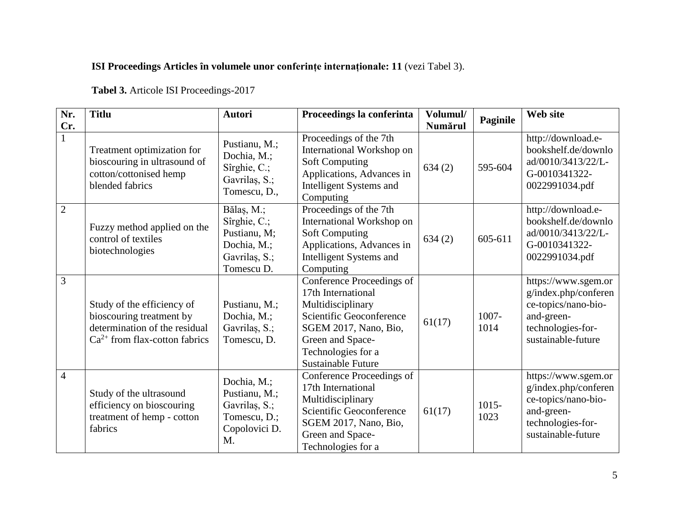# **ISI Proceedings Articles ȋn volumele unor conferințe internaționale: 11** (vezi Tabel 3).

**Tabel 3.** Articole ISI Proceedings-2017

| Nr.<br>Cr.     | <b>Titlu</b>                                                                                                                  | <b>Autori</b>                                                                            | Proceedings la conferinta                                                                                                                                                                        | Volumul/<br>Numărul | Paginile         | Web site                                                                                                                    |
|----------------|-------------------------------------------------------------------------------------------------------------------------------|------------------------------------------------------------------------------------------|--------------------------------------------------------------------------------------------------------------------------------------------------------------------------------------------------|---------------------|------------------|-----------------------------------------------------------------------------------------------------------------------------|
| 1              | Treatment optimization for<br>bioscouring in ultrasound of<br>cotton/cottonised hemp<br>blended fabrics                       | Pustianu, M.;<br>Dochia, M.;<br>Sîrghie, C.;<br>Gavrilas, S.;<br>Tomescu, D.,            | Proceedings of the 7th<br>International Workshop on<br><b>Soft Computing</b><br>Applications, Advances in<br>Intelligent Systems and<br>Computing                                                | 634(2)              | 595-604          | http://download.e-<br>bookshelf.de/downlo<br>ad/0010/3413/22/L-<br>G-0010341322-<br>0022991034.pdf                          |
| $\overline{2}$ | Fuzzy method applied on the<br>control of textiles<br>biotechnologies                                                         | Bălaș, M.;<br>Sîrghie, C.;<br>Pustianu, M;<br>Dochia, M.;<br>Gavrilaș, S.;<br>Tomescu D. | Proceedings of the 7th<br>International Workshop on<br><b>Soft Computing</b><br>Applications, Advances in<br>Intelligent Systems and<br>Computing                                                | 634(2)              | 605-611          | http://download.e-<br>bookshelf.de/downlo<br>ad/0010/3413/22/L-<br>G-0010341322-<br>0022991034.pdf                          |
| 3              | Study of the efficiency of<br>bioscouring treatment by<br>determination of the residual<br>$Ca^{2+}$ from flax-cotton fabrics | Pustianu, M.;<br>Dochia, M.;<br>Gavrilas, S.;<br>Tomescu, D.                             | Conference Proceedings of<br>17th International<br>Multidisciplinary<br>Scientific Geoconference<br>SGEM 2017, Nano, Bio,<br>Green and Space-<br>Technologies for a<br><b>Sustainable Future</b> | 61(17)              | 1007-<br>1014    | https://www.sgem.or<br>g/index.php/conferen<br>ce-topics/nano-bio-<br>and-green-<br>technologies-for-<br>sustainable-future |
| $\overline{4}$ | Study of the ultrasound<br>efficiency on bioscouring<br>treatment of hemp - cotton<br>fabrics                                 | Dochia, M.;<br>Pustianu, M.;<br>Gavrilaș, S.;<br>Tomescu, D.;<br>Copolovici D.<br>M.     | Conference Proceedings of<br>17th International<br>Multidisciplinary<br>Scientific Geoconference<br>SGEM 2017, Nano, Bio,<br>Green and Space-<br>Technologies for a                              | 61(17)              | $1015 -$<br>1023 | https://www.sgem.or<br>g/index.php/conferen<br>ce-topics/nano-bio-<br>and-green-<br>technologies-for-<br>sustainable-future |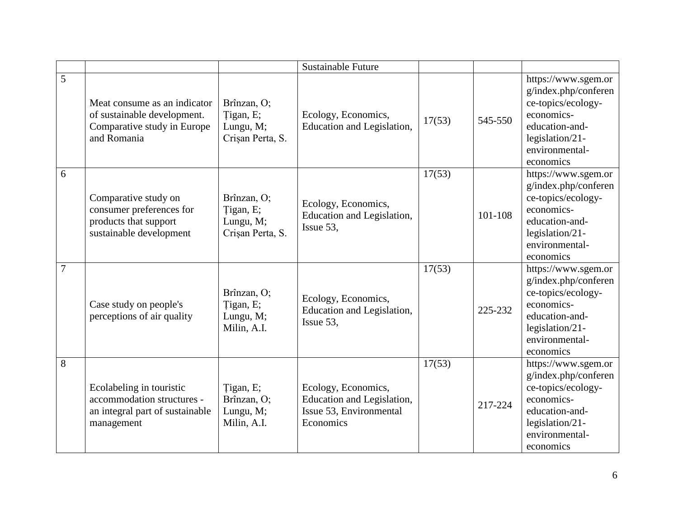|   |                                                                                                           |                                                           | <b>Sustainable Future</b>                                                                 |        |         |                                                                                                                                                     |
|---|-----------------------------------------------------------------------------------------------------------|-----------------------------------------------------------|-------------------------------------------------------------------------------------------|--------|---------|-----------------------------------------------------------------------------------------------------------------------------------------------------|
| 5 | Meat consume as an indicator<br>of sustainable development.<br>Comparative study in Europe<br>and Romania | Brînzan, O;<br>Tigan, E;<br>Lungu, M;<br>Crișan Perta, S. | Ecology, Economics,<br>Education and Legislation,                                         | 17(53) | 545-550 | https://www.sgem.or<br>g/index.php/conferen<br>ce-topics/ecology-<br>economics-<br>education-and-<br>legislation/21-<br>environmental-<br>economics |
| 6 | Comparative study on<br>consumer preferences for<br>products that support<br>sustainable development      | Brînzan, O;<br>Tigan, E;<br>Lungu, M;<br>Crișan Perta, S. | Ecology, Economics,<br>Education and Legislation,<br>Issue 53,                            | 17(53) | 101-108 | https://www.sgem.or<br>g/index.php/conferen<br>ce-topics/ecology-<br>economics-<br>education-and-<br>legislation/21-<br>environmental-<br>economics |
| 7 | Case study on people's<br>perceptions of air quality                                                      | Brînzan, O;<br>Tigan, E;<br>Lungu, M;<br>Milin, A.I.      | Ecology, Economics,<br>Education and Legislation,<br>Issue 53,                            | 17(53) | 225-232 | https://www.sgem.or<br>g/index.php/conferen<br>ce-topics/ecology-<br>economics-<br>education-and-<br>legislation/21-<br>environmental-<br>economics |
| 8 | Ecolabeling in touristic<br>accommodation structures -<br>an integral part of sustainable<br>management   | Tigan, E;<br>Brînzan, O;<br>Lungu, M;<br>Milin, A.I.      | Ecology, Economics,<br>Education and Legislation,<br>Issue 53, Environmental<br>Economics | 17(53) | 217-224 | https://www.sgem.or<br>g/index.php/conferen<br>ce-topics/ecology-<br>economics-<br>education-and-<br>legislation/21-<br>environmental-<br>economics |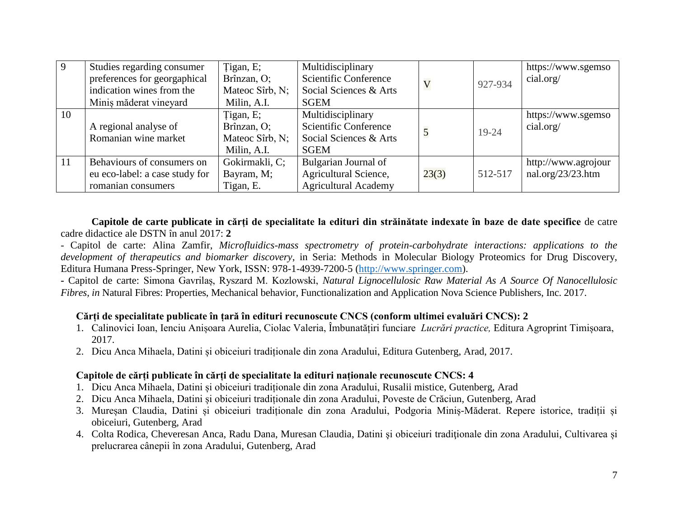| 9  | Studies regarding consumer     | Tigan, E;       | Multidisciplinary            |                         |           | https://www.sgemso    |
|----|--------------------------------|-----------------|------------------------------|-------------------------|-----------|-----------------------|
|    | preferences for georgaphical   | Brînzan, O;     | <b>Scientific Conference</b> | $\overline{\mathsf{V}}$ | 927-934   | cial.org/             |
|    | indication wines from the      | Mateoc Sîrb, N; | Social Sciences & Arts       |                         |           |                       |
|    | Minis măderat vineyard         | Milin, A.I.     | SGEM                         |                         |           |                       |
| 10 |                                | Tigan, E;       | Multidisciplinary            |                         |           | https://www.sgemso    |
|    | A regional analyse of          | Brînzan, O;     | <b>Scientific Conference</b> | 5                       | $19 - 24$ | cial.org/             |
|    | Romanian wine market           | Mateoc Sîrb, N; | Social Sciences & Arts       |                         |           |                       |
|    |                                | Milin, A.I.     | <b>SGEM</b>                  |                         |           |                       |
| 11 | Behaviours of consumers on     | Gokirmakli, C;  | Bulgarian Journal of         |                         |           | http://www.agrojour   |
|    | eu eco-label: a case study for | Bayram, M;      | Agricultural Science,        | 23(3)                   | 512-517   | nal.org/ $23/23$ .htm |
|    | romanian consumers             | Tigan, E.       | <b>Agricultural Academy</b>  |                         |           |                       |

**Capitole de carte publicate in cărți de specialitate la edituri din străinătate indexate în baze de date specifice** de catre cadre didactice ale DSTN în anul 2017: **2**

- Capitol de carte: Alina Zamfir, *Microfluidics-mass spectrometry of protein-carbohydrate interactions: applications to the development of therapeutics and biomarker discovery*, in Seria: Methods in Molecular Biology Proteomics for Drug Discovery, Editura Humana Press-Springer, New York, ISSN: 978-1-4939-7200-5 [\(http://www.springer.com\)](http://www.springer.com/).

**-** Capitol de carte: Simona Gavrilaș, Ryszard M. Kozlowski, *Natural Lignocellulosic Raw Material As A Source Of Nanocellulosic Fibres, in* Natural Fibres: Properties, Mechanical behavior, Functionalization and Application Nova Science Publishers, Inc. 2017.

## **Cărți de specialitate publicate în țară în edituri recunoscute CNCS (conform ultimei evaluări CNCS): 2**

- 1. Calinovici Ioan, Ienciu Anișoara Aurelia, Ciolac Valeria, Îmbunatățiri funciare *Lucrări practice,* Editura Agroprint Timișoara, 2017.
- 2. Dicu Anca Mihaela, Datini și obiceiuri tradiționale din zona Aradului, Editura Gutenberg, Arad, 2017.

## **Capitole de cărți publicate în cărți de specialitate la edituri naționale recunoscute CNCS: 4**

- 1. Dicu Anca Mihaela, Datini și obiceiuri tradiționale din zona Aradului, Rusalii mistice, Gutenberg, Arad
- 2. Dicu Anca Mihaela, Datini și obiceiuri tradiționale din zona Aradului, Poveste de Crăciun, Gutenberg, Arad
- 3. Mureșan Claudia, Datini și obiceiuri tradiționale din zona Aradului, Podgoria Miniș-Măderat. Repere istorice, tradiții și obiceiuri, Gutenberg, Arad
- 4. Colta Rodica, Cheveresan Anca, Radu Dana, Muresan Claudia, Datini şi obiceiuri tradiţionale din zona Aradului, Cultivarea și prelucrarea cânepii în zona Aradului, Gutenberg, Arad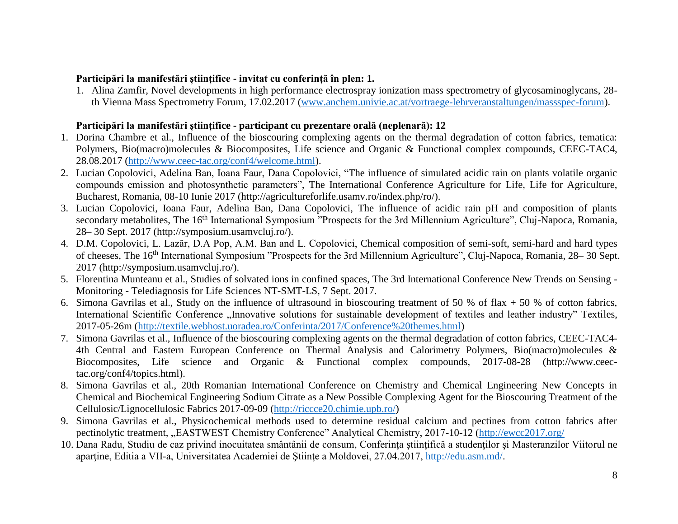## **Participări la manifestări științifice - invitat cu conferință în plen: 1.**

1. Alina Zamfir, Novel developments in high performance electrospray ionization mass spectrometry of glycosaminoglycans, 28 th Vienna Mass Spectrometry Forum, 17.02.2017 [\(www.anchem.univie.ac.at/vortraege-lehrveranstaltungen/massspec-forum\)](http://www.anchem.univie.ac.at/vortraege-lehrveranstaltungen/massspec-forum).

## **Participări la manifestări științifice - participant cu prezentare orală (neplenară): 12**

- 1. Dorina Chambre et al., Influence of the bioscouring complexing agents on the thermal degradation of cotton fabrics, tematica: Polymers, Bio(macro)molecules & Biocomposites, Life science and Organic & Functional complex compounds, CEEC-TAC4, 28.08.2017 [\(http://www.ceec-tac.org/conf4/welcome.html\)](http://www.ceec-tac.org/conf4/welcome.html).
- 2. Lucian Copolovici, Adelina Ban, Ioana Faur, Dana Copolovici, "The influence of simulated acidic rain on plants volatile organic compounds emission and photosynthetic parameters", The International Conference Agriculture for Life, Life for Agriculture, Bucharest, Romania, 08-10 Iunie 2017 (http://agricultureforlife.usamv.ro/index.php/ro/).
- 3. Lucian Copolovici, Ioana Faur, Adelina Ban, Dana Copolovici, The influence of acidic rain pH and composition of plants secondary metabolites, The 16<sup>th</sup> International Symposium "Prospects for the 3rd Millennium Agriculture", Cluj-Napoca, Romania, 28– 30 Sept. 2017 (http://symposium.usamvcluj.ro/).
- 4. D.M. Copolovici, L. Lazăr, D.A Pop, A.M. Ban and L. Copolovici, Chemical composition of semi-soft, semi-hard and hard types of cheeses, The 16th International Symposium "Prospects for the 3rd Millennium Agriculture", Cluj-Napoca, Romania, 28– 30 Sept. 2017 (http://symposium.usamvcluj.ro/).
- 5. Florentina Munteanu et al., Studies of solvated ions in confined spaces, The 3rd International Conference New Trends on Sensing Monitoring - Telediagnosis for Life Sciences NT-SMT-LS, 7 Sept. 2017.
- 6. Simona Gavrilas et al., Study on the influence of ultrasound in bioscouring treatment of 50 % of flax  $+$  50 % of cotton fabrics, International Scientific Conference "Innovative solutions for sustainable development of textiles and leather industry" Textiles, 2017-05-26m [\(http://textile.webhost.uoradea.ro/Conferinta/2017/Conference%20themes.html\)](http://textile.webhost.uoradea.ro/Conferinta/2017/Conference%20themes.html)
- 7. Simona Gavrilas et al., Influence of the bioscouring complexing agents on the thermal degradation of cotton fabrics, CEEC-TAC4- 4th Central and Eastern European Conference on Thermal Analysis and Calorimetry Polymers, Bio(macro)molecules & Biocomposites, Life science and Organic & Functional complex compounds, 2017-08-28 (http://www.ceectac.org/conf4/topics.html).
- 8. Simona Gavrilas et al., 20th Romanian International Conference on Chemistry and Chemical Engineering New Concepts in Chemical and Biochemical Engineering Sodium Citrate as a New Possible Complexing Agent for the Bioscouring Treatment of the Cellulosic/Lignocellulosic Fabrics 2017-09-09 [\(http://riccce20.chimie.upb.ro/\)](http://riccce20.chimie.upb.ro/)
- 9. Simona Gavrilas et al., Physicochemical methods used to determine residual calcium and pectines from cotton fabrics after pectinolytic treatment, "EASTWEST Chemistry Conference" Analytical Chemistry, 2017-10-12 [\(http://ewcc2017.org/](http://ewcc2017.org/)
- 10. Dana Radu, Studiu de caz privind inocuitatea smântânii de consum, Conferința științifică a studenților și Masteranzilor Viitorul ne aparține, Editia a VII-a, Universitatea Academiei de Științe a Moldovei, 27.04.2017, [http://edu.asm.md/.](http://edu.asm.md/)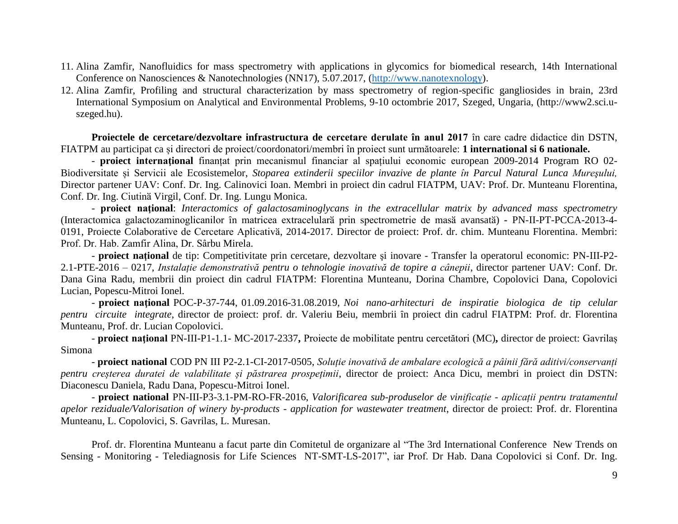- 11. Alina Zamfir, Nanofluidics for mass spectrometry with applications in glycomics for biomedical research, 14th International Conference on Nanosciences & Nanotechnologies (NN17), 5.07.2017, [\(http://www.nanotexnology\)](http://www.nanotexnology/).
- 12. Alina Zamfir, Profiling and structural characterization by mass spectrometry of region-specific gangliosides in brain, 23rd International Symposium on Analytical and Environmental Problems, 9-10 octombrie 2017, Szeged, Ungaria, (http://www2.sci.uszeged.hu).

**Proiectele de cercetare/dezvoltare infrastructura de cercetare derulate în anul 2017** în care cadre didactice din DSTN, FIATPM au participat ca și directori de proiect/coordonatori/membri în proiect sunt următoarele: **1 international si 6 nationale.**

- **proiect internaţional** finanțat prin mecanismul financiar al spațiului economic european 2009-2014 Program RO 02- Biodiversitate și Servicii ale Ecosistemelor, *Stoparea extinderii speciilor invazive de plante în Parcul Natural Lunca Mureşului,* Director partener UAV: Conf. Dr. Ing. Calinovici Ioan. Membri in proiect din cadrul FIATPM, UAV: Prof. Dr. Munteanu Florentina, Conf. Dr. Ing. Ciutinӑ Virgil, Conf. Dr. Ing. Lungu Monica.

- **proiect naţional**: *Interactomics of galactosaminoglycans in the extracellular matrix by advanced mass spectrometry* (Interactomica galactozaminoglicanilor ȋn matricea extracelularӑ prin spectrometrie de masӑ avansatӑ) **-** PN-II-PT-PCCA-2013-4- 0191, Proiecte Colaborative de Cercetare Aplicativӑ, 2014-2017. Director de proiect: Prof. dr. chim. Munteanu Florentina. Membri: Prof. Dr. Hab. Zamfir Alina, Dr. Sârbu Mirela.

- **proiect naţional** de tip: Competitivitate prin cercetare, dezvoltare şi inovare - Transfer la operatorul economic: PN-III-P2- 2.1-PTE-2016 – 0217, *Instalație demonstrativă pentru o tehnologie inovativă de topire a cânepii*, director partener UAV: Conf. Dr. Dana Gina Radu, membrii din proiect din cadrul FIATPM: Florentina Munteanu, Dorina Chambre, Copolovici Dana, Copolovici Lucian, Popescu-Mitroi Ionel.

- **proiect naţional** POC-P-37-744, 01.09.2016-31.08.2019, *Noi nano-arhitecturi de inspiratie biologica de tip celular pentru circuite integrate*, director de proiect: prof. dr. Valeriu Beiu, membrii ȋn proiect din cadrul FIATPM: Prof. dr. Florentina Munteanu, Prof. dr. Lucian Copolovici.

- **proiect naţional** PN-III-P1-1.1- MC-2017-2337**,** [Proiecte de mobilitate pentru cercetători](https://uefiscdi.ro/proiecte-de-mobilitate-pentru-cercetatori) (MC)**,** director de proiect: Gavrilaș Simona

- **proiect national** COD PN III P2-2.1-CI-2017-0505, *Soluție inovativă de ambalare ecologică a pâinii fără aditivi/conservanți pentru creșterea duratei de valabilitate și păstrarea prospețimii*, director de proiect: Anca Dicu, membri in proiect din DSTN: Diaconescu Daniela, Radu Dana, Popescu-Mitroi Ionel.

- **proiect national** PN-III-P3-3.1-PM-RO-FR-2016, *Valorificarea sub-produselor de vinificație - aplicații pentru tratamentul apelor reziduale/Valorisation of winery by-products - application for wastewater treatment*, director de proiect: Prof. dr. Florentina Munteanu, L. Copolovici, S. Gavrilas, L. Muresan.

Prof. dr. Florentina Munteanu a facut parte din Comitetul de organizare al "The 3rd International Conference New Trends on Sensing - Monitoring - Telediagnosis for Life Sciences NT-SMT-LS-2017", iar Prof. Dr Hab. Dana Copolovici si Conf. Dr. Ing.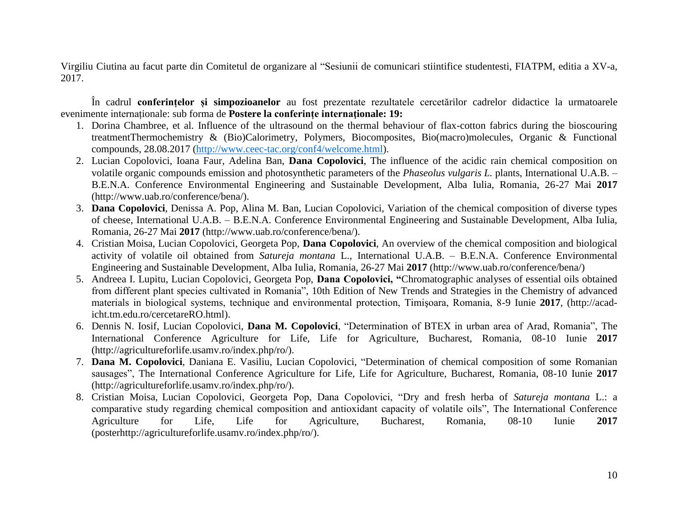Virgiliu Ciutina au facut parte din Comitetul de organizare al "Sesiunii de comunicari stiintifice studentesti, FIATPM, editia a XV-a, 2017.

În cadrul **conferințelor și simpozioanelor** au fost prezentate rezultatele cercetărilor cadrelor didactice la urmatoarele evenimente internaționale: sub forma de **Postere la conferințe internaţionale: 19:**

- 1. Dorina Chambree, et al. Influence of the ultrasound on the thermal behaviour of flax-cotton fabrics during the bioscouring treatmentThermochemistry & (Bio)Calorimetry, Polymers, Biocomposites, Bio(macro)molecules, Organic & Functional compounds, 28.08.2017 [\(http://www.ceec-tac.org/conf4/welcome.html\)](http://www.ceec-tac.org/conf4/welcome.html).
- 2. Lucian Copolovici, Ioana Faur, Adelina Ban, **Dana Copolovici**, The influence of the acidic rain chemical composition on volatile organic compounds emission and photosynthetic parameters of the *Phaseolus vulgaris L.* plants, International U.A.B. – B.E.N.A. Conference Environmental Engineering and Sustainable Development, Alba Iulia, Romania, 26-27 Mai **2017** (http://www.uab.ro/conference/bena/).
- 3. **Dana Copolovici**, Denissa A. Pop, Alina M. Ban, Lucian Copolovici, Variation of the chemical composition of diverse types of cheese, International U.A.B. – B.E.N.A. Conference Environmental Engineering and Sustainable Development, Alba Iulia, Romania, 26-27 Mai **2017** (http://www.uab.ro/conference/bena/).
- 4. Cristian Moisa, Lucian Copolovici, Georgeta Pop, **Dana Copolovici**, An overview of the chemical composition and biological activity of volatile oil obtained from *Satureja montana* L., International U.A.B. – B.E.N.A. Conference Environmental Engineering and Sustainable Development, Alba Iulia, Romania, 26-27 Mai **2017** (http://www.uab.ro/conference/bena/)
- 5. Andreea I. Lupitu, Lucian Copolovici, Georgeta Pop, **Dana Copolovici, "**Chromatographic analyses of essential oils obtained from different plant species cultivated in Romania", 10th Edition of New Trends and Strategies in the Chemistry of advanced materials in biological systems, technique and environmental protection, Timişoara, Romania, 8-9 Iunie **2017**, (http://acadicht.tm.edu.ro/cercetareRO.html).
- 6. Dennis N. Iosif, Lucian Copolovici, **Dana M. Copolovici**, "Determination of BTEX in urban area of Arad, Romania", The International Conference Agriculture for Life, Life for Agriculture, Bucharest, Romania, 08-10 Iunie **2017** (http://agricultureforlife.usamv.ro/index.php/ro/).
- 7. **Dana M. Copolovici**, Daniana E. Vasiliu, Lucian Copolovici, "Determination of chemical composition of some Romanian sausages", The International Conference Agriculture for Life, Life for Agriculture, Bucharest, Romania, 08-10 Iunie **2017** (http://agricultureforlife.usamv.ro/index.php/ro/).
- 8. Cristian Moisa, Lucian Copolovici, Georgeta Pop, Dana Copolovici, "Dry and fresh herba of *Satureja montana* L.: a comparative study regarding chemical composition and antioxidant capacity of volatile oils", The International Conference Agriculture for Life, Life for Agriculture, Bucharest, Romania, 08-10 Iunie **2017** (posterhttp://agricultureforlife.usamv.ro/index.php/ro/).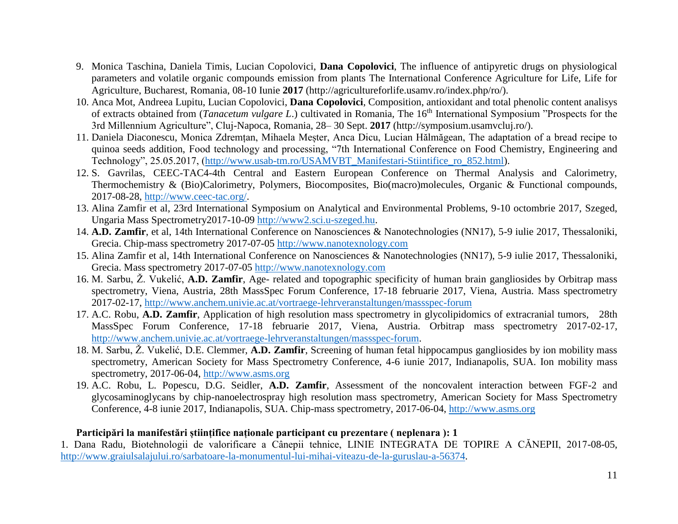- 9. Monica Taschina, Daniela Timis, Lucian Copolovici, **Dana Copolovici**, The influence of antipyretic drugs on physiological parameters and volatile organic compounds emission from plants The International Conference Agriculture for Life, Life for Agriculture, Bucharest, Romania, 08-10 Iunie **2017** (http://agricultureforlife.usamv.ro/index.php/ro/).
- 10. Anca Mot, Andreea Lupitu, Lucian Copolovici, **Dana Copolovici**, Composition, antioxidant and total phenolic content analisys of extracts obtained from (*Tanacetum vulgare L*.) cultivated in Romania, The 16th International Symposium "Prospects for the 3rd Millennium Agriculture", Cluj-Napoca, Romania, 28– 30 Sept. **2017** (http://symposium.usamvcluj.ro/).
- 11. Daniela Diaconescu, Monica Zdremțan, Mihaela Meșter, Anca Dicu, Lucian Hălmăgean, The adaptation of a bread recipe to quinoa seeds addition, Food technology and processing, "7th International Conference on Food Chemistry, Engineering and Technology", 25.05.2017, [\(http://www.usab-tm.ro/USAMVBT\\_Manifestari-Stiintifice\\_ro\\_852.html\)](http://www.usab-tm.ro/USAMVBT_Manifestari-Stiintifice_ro_852.html).
- 12. S. Gavrilas, CEEC-TAC4-4th Central and Eastern European Conference on Thermal Analysis and Calorimetry, Thermochemistry & (Bio)Calorimetry, Polymers, Biocomposites, Bio(macro)molecules, Organic & Functional compounds, 2017-08-28, [http://www.ceec-tac.org/.](http://www.ceec-tac.org/)
- 13. Alina Zamfir et al, 23rd International Symposium on Analytical and Environmental Problems, 9-10 octombrie 2017, Szeged, Ungaria Mass Spectrometry2017-10-09 [http://www2.sci.u-szeged.hu.](http://www2.sci.u-szeged.hu/)
- 14. **A.D. Zamfir**, et al, 14th International Conference on Nanosciences & Nanotechnologies (NN17), 5-9 iulie 2017, Thessaloniki, Grecia. Chip-mass spectrometry 2017-07-05 [http://www.nanotexnology.com](http://www.nanotexnology.com/)
- 15. Alina Zamfir et al, 14th International Conference on Nanosciences & Nanotechnologies (NN17), 5-9 iulie 2017, Thessaloniki, Grecia. Mass spectrometry 2017-07-05 [http://www.nanotexnology.com](http://www.nanotexnology.com/)
- 16. M. Sarbu, Ž. Vukelić, **A.D. Zamfir**, Age- related and topographic specificity of human brain gangliosides by Orbitrap mass spectrometry, Viena, Austria, 28th MassSpec Forum Conference, 17-18 februarie 2017, Viena, Austria. Mass spectrometry 2017-02-17,<http://www.anchem.univie.ac.at/vortraege-lehrveranstaltungen/massspec-forum>
- 17. A.C. Robu, **A.D. Zamfir**, Application of high resolution mass spectrometry in glycolipidomics of extracranial tumors, 28th MassSpec Forum Conference, 17-18 februarie 2017, Viena, Austria. Orbitrap mass spectrometry 2017-02-17, [http://www.anchem.univie.ac.at/vortraege-lehrveranstaltungen/massspec-forum.](http://www.anchem.univie.ac.at/vortraege-lehrveranstaltungen/massspec-forum)
- 18. M. Sarbu, Ž. Vukelić, D.E. Clemmer, **A.D. Zamfir**, Screening of human fetal hippocampus gangliosides by ion mobility mass spectrometry, American Society for Mass Spectrometry Conference, 4-6 iunie 2017, Indianapolis, SUA. Ion mobility mass spectrometry, 2017-06-04, [http://www.asms.org](http://www.asms.org/)
- 19. A.C. Robu, L. Popescu, D.G. Seidler, **A.D. Zamfir**, Assessment of the noncovalent interaction between FGF-2 and glycosaminoglycans by chip-nanoelectrospray high resolution mass spectrometry, American Society for Mass Spectrometry Conference, 4-8 iunie 2017, Indianapolis, SUA. Chip-mass spectrometry, 2017-06-04, [http://www.asms.org](http://www.asms.org/)

## **Participări la manifestări științifice naționale participant cu prezentare ( neplenara ): 1**

1. Dana Radu, Biotehnologii de valorificare a Cânepii tehnice, LINIE INTEGRATA DE TOPIRE A CĂNEPII, 2017-08-05, [http://www.graiulsalajului.ro/sarbatoare-la-monumentul-lui-mihai-viteazu-de-la-guruslau-a-56374.](http://www.graiulsalajului.ro/sarbatoare-la-monumentul-lui-mihai-viteazu-de-la-guruslau-a-56374)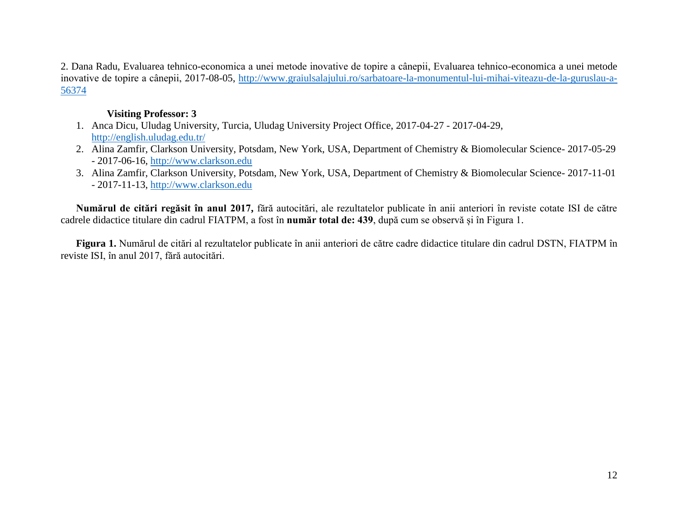2. Dana Radu, Evaluarea tehnico-economica a unei metode inovative de topire a cânepii, Evaluarea tehnico-economica a unei metode inovative de topire a cânepii, 2017-08-05, [http://www.graiulsalajului.ro/sarbatoare-la-monumentul-lui-mihai-viteazu-de-la-guruslau-a-](http://www.graiulsalajului.ro/sarbatoare-la-monumentul-lui-mihai-viteazu-de-la-guruslau-a-56374)[56374](http://www.graiulsalajului.ro/sarbatoare-la-monumentul-lui-mihai-viteazu-de-la-guruslau-a-56374)

### **Visiting Professor: 3**

- 1. Anca Dicu, Uludag University, Turcia, Uludag University Project Office, 2017-04-27 2017-04-29, <http://english.uludag.edu.tr/>
- 2. Alina Zamfir, Clarkson University, Potsdam, New York, USA, Department of Chemistry & Biomolecular Science- 2017-05-29 - 2017-06-16, [http://www.clarkson.edu](http://www.clarkson.edu/)
- 3. Alina Zamfir, Clarkson University, Potsdam, New York, USA, Department of Chemistry & Biomolecular Science- 2017-11-01 - 2017-11-13, [http://www.clarkson.edu](http://www.clarkson.edu/)

**Numărul de citări regăsit în anul 2017,** fără autocitări, ale rezultatelor publicate în anii anteriori în reviste cotate ISI de către cadrele didactice titulare din cadrul FIATPM, a fost în **număr total de: 439**, după cum se observă și în Figura 1.

**Figura 1.** Numărul de citări al rezultatelor publicate în anii anteriori de către cadre didactice titulare din cadrul DSTN, FIATPM în reviste ISI, în anul 2017, fără autocitări.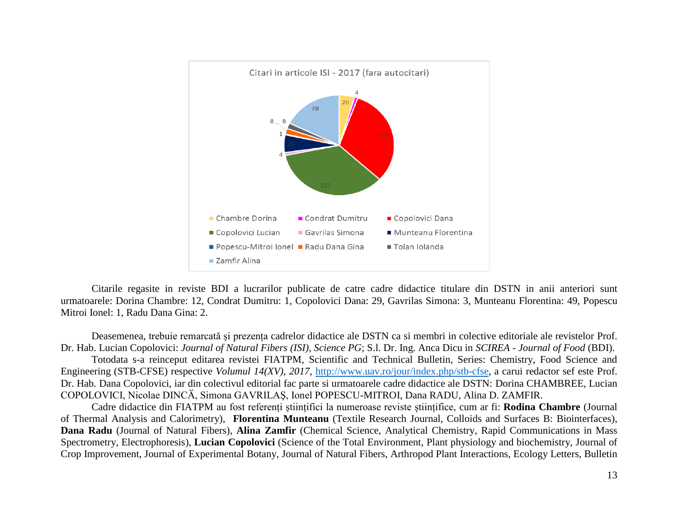

Citarile regasite in reviste BDI a lucrarilor publicate de catre cadre didactice titulare din DSTN in anii anteriori sunt urmatoarele: Dorina Chambre: 12, Condrat Dumitru: 1, Copolovici Dana: 29, Gavrilas Simona: 3, Munteanu Florentina: 49, Popescu Mitroi Ionel: 1, Radu Dana Gina: 2.

Deasemenea, trebuie remarcată și prezența cadrelor didactice ale DSTN ca si membri in colective editoriale ale revistelor Prof. Dr. Hab. Lucian Copolovici: *Journal of Natural Fibers (ISI), Science PG*; S.l. Dr. Ing. Anca Dicu in *SCIREA - Journal of Food* (BDI). Totodata s-a reinceput editarea revistei FIATPM, Scientific and Technical Bulletin, Series: Chemistry, Food Science and Engineering (STB-CFSE) respective *Volumul 14(XV), 2017*, [http://www.uav.ro/jour/index.php/stb-cfse,](http://www.uav.ro/jour/index.php/stb-cfse) a carui redactor sef este Prof. Dr. Hab. Dana Copolovici, iar din colectivul editorial fac parte si urmatoarele cadre didactice ale DSTN: Dorina CHAMBREE, Lucian COPOLOVICI, Nicolae DINCӐ, Simona GAVRILAŞ, Ionel POPESCU-MITROI, Dana RADU, Alina D. ZAMFIR.

Cadre didactice din FIATPM au fost referenți științifici la numeroase reviste științifice, cum ar fi: **Rodina Chambre** (Journal of Thermal Analysis and Calorimetry), **Florentina Munteanu** (Textile Research Journal, Colloids and Surfaces B: Biointerfaces), **Dana Radu** (Journal of Natural Fibers), **Alina Zamfir** (Chemical Science, Analytical Chemistry, Rapid Communications in Mass Spectrometry, Electrophoresis), **Lucian Copolovici** (Science of the Total Environment, Plant physiology and biochemistry, Journal of Crop Improvement, Journal of Experimental Botany, Journal of Natural Fibers, Arthropod Plant Interactions, Ecology Letters, Bulletin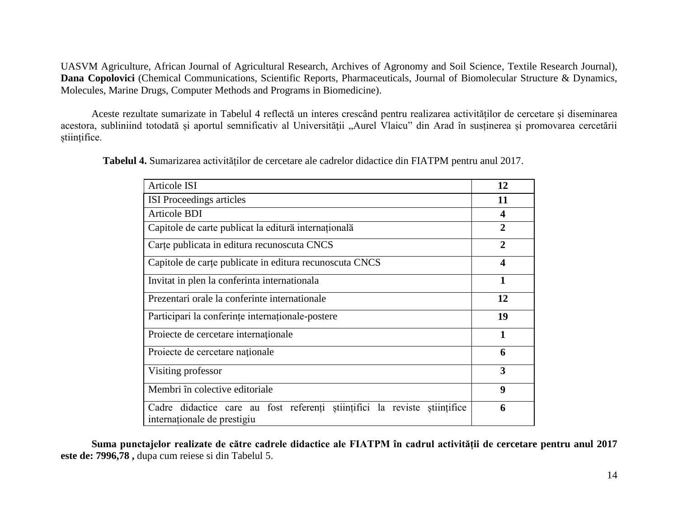UASVM Agriculture, African Journal of Agricultural Research, Archives of Agronomy and Soil Science, Textile Research Journal), **Dana Copolovici** (Chemical Communications, Scientific Reports, Pharmaceuticals, Journal of Biomolecular Structure & Dynamics, Molecules, Marine Drugs, Computer Methods and Programs in Biomedicine).

Aceste rezultate sumarizate in Tabelul 4 reflectă un interes crescând pentru realizarea activităților de cercetare și diseminarea acestora, subliniind totodată și aportul semnificativ al Universității "Aurel Vlaicu" din Arad în susținerea și promovarea cercetării științifice.

| Articole ISI                                                                                             | 12                      |
|----------------------------------------------------------------------------------------------------------|-------------------------|
| <b>ISI</b> Proceedings articles                                                                          | 11                      |
| <b>Articole BDI</b>                                                                                      | 4                       |
| Capitole de carte publicat la editură internațională                                                     | $\overline{2}$          |
| Carte publicata in editura recunoscuta CNCS                                                              | $\overline{2}$          |
| Capitole de carte publicate in editura recunoscuta CNCS                                                  | $\overline{\mathbf{4}}$ |
| Invitat in plen la conferinta internationala                                                             | 1                       |
| Prezentari orale la conferinte internationale                                                            | 12                      |
| Participari la conferințe internaționale-postere                                                         | 19                      |
| Proiecte de cercetare internaționale                                                                     | 1                       |
| Proiecte de cercetare naționale                                                                          | 6                       |
| Visiting professor                                                                                       | 3                       |
| Membri în colective editoriale                                                                           | 9                       |
| Cadre didactice care au fost referenți științifici la reviste științifice<br>internaționale de prestigiu | 6                       |

**Tabelul 4.** Sumarizarea activităților de cercetare ale cadrelor didactice din FIATPM pentru anul 2017.

**Suma punctajelor realizate de către cadrele didactice ale FIATPM în cadrul activității de cercetare pentru anul 2017 este de: 7996,78 ,** dupa cum reiese si din Tabelul 5.